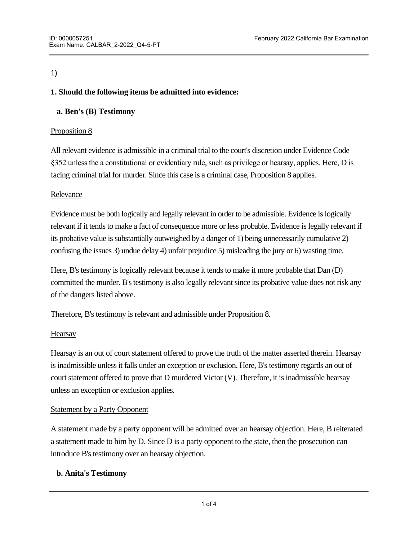## 1)

## **1. Should the following items be admitted into evidence:**

# **a. Ben's (B) Testimony**

## Proposition 8

All relevant evidence is admissible in a criminal trial to the court's discretion under Evidence Code §352 unless the a constitutional or evidentiary rule, such as privilege or hearsay, applies. Here, D is facing criminal trial for murder. Since this case is a criminal case, Proposition 8 applies.

## Relevance

Evidence must be both logically and legally relevant in order to be admissible. Evidence is logically relevant if it tends to make a fact of consequence more or less probable. Evidence is legally relevant if its probative value is substantially outweighed by a danger of 1) being unnecessarily cumulative 2) confusing the issues 3) undue delay 4) unfair prejudice 5) misleading the jury or 6) wasting time.

Here, B's testimony is logically relevant because it tends to make it more probable that Dan (D) committed the murder. B's testimony is also legally relevant since its probative value does not risk any of the dangers listed above.

Therefore, B's testimony is relevant and admissible under Proposition 8.

## **Hearsay**

Hearsay is an out of court statement offered to prove the truth of the matter asserted therein. Hearsay is inadmissible unless it falls under an exception or exclusion. Here, B's testimony regards an out of court statement offered to prove that D murdered Victor (V). Therefore, it is inadmissible hearsay unless an exception or exclusion applies.

#### Statement by a Party Opponent

A statement made by a party opponent will be admitted over an hearsay objection. Here, B reiterated a statement made to him by D. Since D is a party opponent to the state, then the prosecution can introduce B's testimony over an hearsay objection.

## **b. Anita's Testimony**

Relevant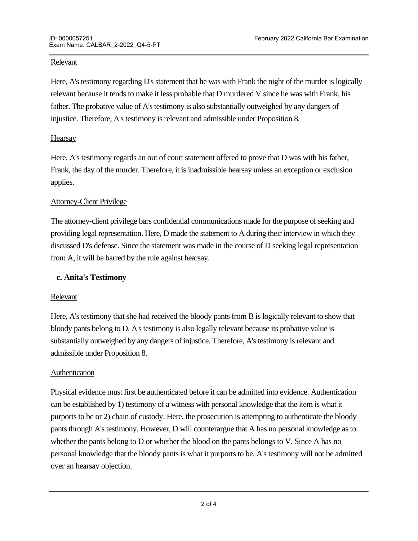#### Relevant

Here, A's testimony regarding D's statement that he was with Frank the night of the murder is logically relevant because it tends to make it less probable that D murdered V since he was with Frank, his father. The probative value of A's testimony is also substantially outweighed by any dangers of injustice. Therefore, A's testimony is relevant and admissible under Proposition 8.

### **Hearsay**

Here, A's testimony regards an out of court statement offered to prove that D was with his father, Frank, the day of the murder. Therefore, it is inadmissible hearsay unless an exception or exclusion applies.

#### Attorney-Client Privilege

The attorney-client privilege bars confidential communications made for the purpose of seeking and providing legal representation. Here, D made the statement to A during their interview in which they discussed D's defense. Since the statement was made in the course of D seeking legal representation from A, it will be barred by the rule against hearsay.

#### **c. Anita's Testimony**

#### Relevant

Here, A's testimony that she had received the bloody pants from B is logically relevant to show that bloody pants belong to D. A's testimony is also legally relevant because its probative value is substantially outweighed by any dangers of injustice. Therefore, A's testimony is relevant and admissible under Proposition 8.

#### Authentication

Physical evidence must first be authenticated before it can be admitted into evidence. Authentication can be established by 1) testimony of a witness with personal knowledge that the item is what it purports to be or 2) chain of custody. Here, the prosecution is attempting to authenticate the bloody pants through A's testimony. However, D will counterargue that A has no personal knowledge as to whether the pants belong to D or whether the blood on the pants belongs to V. Since A has no personal knowledge that the bloody pants is what it purports to be, A's testimony will not be admitted over an hearsay objection.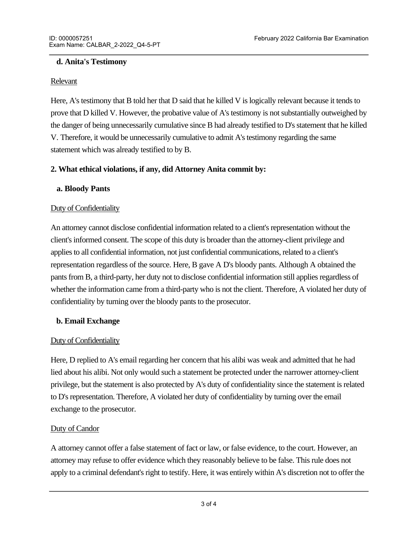## **d. Anita's Testimony**

#### Relevant

Here, A's testimony that B told her that D said that he killed V is logically relevant because it tends to prove that D killed V. However, the probative value of A's testimony is not substantially outweighed by the danger of being unnecessarily cumulative since B had already testified to D's statement that he killed V. Therefore, it would be unnecessarily cumulative to admit A's testimony regarding the same statement which was already testified to by B.

## **2. What ethical violations, if any, did Attorney Anita commit by:**

#### **a. Bloody Pants**

#### Duty of Confidentiality

An attorney cannot disclose confidential information related to a client's representation without the client's informed consent. The scope of this duty is broader than the attorney-client privilege and applies to all confidential information, not just confidential communications, related to a client's representation regardless of the source. Here, B gave A D's bloody pants. Although A obtained the pants from B, a third-party, her duty not to disclose confidential information still applies regardless of whether the information came from a third-party who is not the client. Therefore, A violated her duty of confidentiality by turning over the bloody pants to the prosecutor.

#### **b. Email Exchange**

#### Duty of Confidentiality

Here, D replied to A's email regarding her concern that his alibi was weak and admitted that he had lied about his alibi. Not only would such a statement be protected under the narrower attorney-client privilege, but the statement is also protected by A's duty of confidentiality since the statement is related to D's representation. Therefore, A violated her duty of confidentiality by turning over the email exchange to the prosecutor.

#### Duty of Candor

A attorney cannot offer a false statement of fact or law, or false evidence, to the court. However, an attorney may refuse to offer evidence which they reasonably believe to be false. This rule does not apply to a criminal defendant's right to testify. Here, it was entirely within A's discretion not to offer the